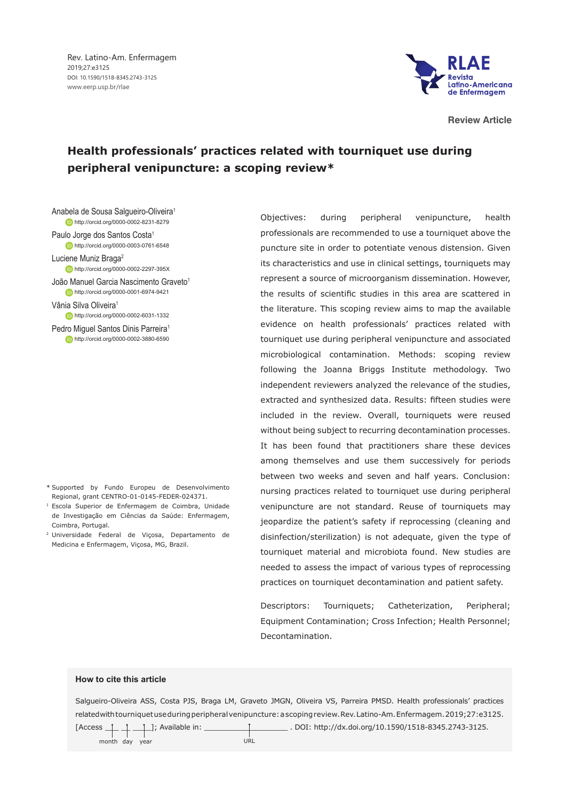Rev. Latino-Am. Enfermagem 2019;27:e3125 DOI: 10.1590/1518-8345.2743-3125 www.eerp.usp.br/rlae



**Review Article**

# **Health professionals' practices related with tourniquet use during peripheral venipuncture: a scoping review\***

Anabela de Sousa Salgueiro-Oliveira1 http://orcid.org/0000-0002-8231-8279

Paulo Jorge dos Santos Costa<sup>1</sup> **b** http://orcid.org/0000-0003-0761-6548

Luciene Muniz Braga<sup>2</sup> http://orcid.org/0000-0002-2297-395X

João Manuel Garcia Nascimento Graveto<sup>1</sup> http://orcid.org/0000-0001-6974-9421

Vânia Silva Oliveira<sup>1</sup> **http://orcid.org/0000-0002-6031-1332** 

Pedro Miquel Santos Dinis Parreira<sup>1</sup> http://orcid.org/0000-0002-3880-6590

- \* Supported by Fundo Europeu de Desenvolvimento Regional, grant CENTRO-01-0145-FEDER-024371.
- <sup>1</sup> Escola Superior de Enfermagem de Coimbra, Unidade de Investigação em Ciências da Saúde: Enfermagem, Coimbra, Portugal.
- <sup>2</sup> Universidade Federal de Viçosa, Departamento de Medicina e Enfermagem, Viçosa, MG, Brazil.

Objectives: during peripheral venipuncture, health professionals are recommended to use a tourniquet above the puncture site in order to potentiate venous distension. Given its characteristics and use in clinical settings, tourniquets may represent a source of microorganism dissemination. However, the results of scientific studies in this area are scattered in the literature. This scoping review aims to map the available evidence on health professionals' practices related with tourniquet use during peripheral venipuncture and associated microbiological contamination. Methods: scoping review following the Joanna Briggs Institute methodology. Two independent reviewers analyzed the relevance of the studies, extracted and synthesized data. Results: fifteen studies were included in the review. Overall, tourniquets were reused without being subject to recurring decontamination processes. It has been found that practitioners share these devices among themselves and use them successively for periods between two weeks and seven and half years. Conclusion: nursing practices related to tourniquet use during peripheral venipuncture are not standard. Reuse of tourniquets may jeopardize the patient's safety if reprocessing (cleaning and disinfection/sterilization) is not adequate, given the type of tourniquet material and microbiota found. New studies are needed to assess the impact of various types of reprocessing practices on tourniquet decontamination and patient safety.

Descriptors: Tourniquets; Catheterization, Peripheral; Equipment Contamination; Cross Infection; Health Personnel; Decontamination.

#### **How to cite this article**

Salgueiro-Oliveira ASS, Costa PJS, Braga LM, Graveto JMGN, Oliveira VS, Parreira PMSD. Health professionals' practices related with tourniquet use during peripheral venipuncture: a scoping review. Rev. Latino-Am. Enfermagem. 2019;27:e3125.

month day year van and the URL

 $[Access \_ ] \_ ]$ ; Available in: \_\_\_\_\_\_\_\_\_\_\_\_\_\_\_\_\_\_\_\_\_\_\_\_\_\_. DOI: http://dx.doi.org/10.1590/1518-8345.2743-3125.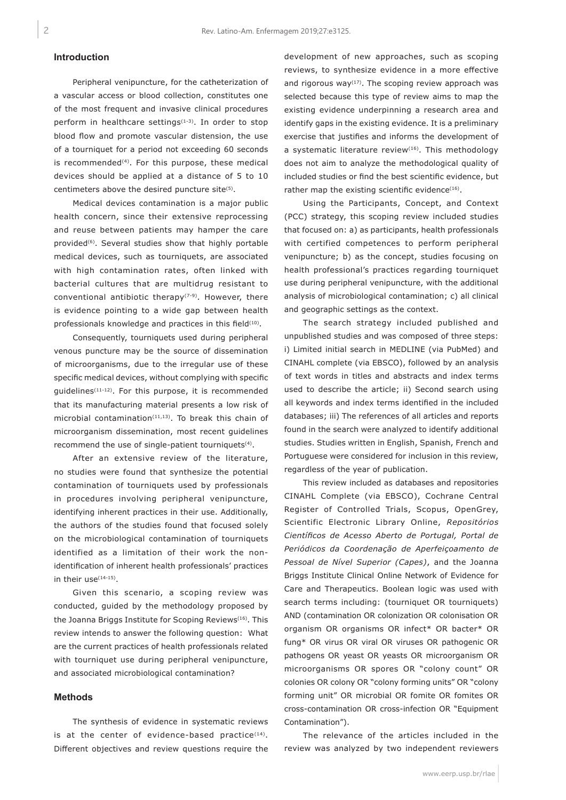## **Introduction**

Peripheral venipuncture, for the catheterization of a vascular access or blood collection, constitutes one of the most frequent and invasive clinical procedures perform in healthcare settings $(1-3)$ . In order to stop blood flow and promote vascular distension, the use of a tourniquet for a period not exceeding 60 seconds is recommended<sup>(4)</sup>. For this purpose, these medical devices should be applied at a distance of 5 to 10 centimeters above the desired puncture site<sup>(5)</sup>.

Medical devices contamination is a major public health concern, since their extensive reprocessing and reuse between patients may hamper the care provided<sup>(6)</sup>. Several studies show that highly portable medical devices, such as tourniquets, are associated with high contamination rates, often linked with bacterial cultures that are multidrug resistant to conventional antibiotic therapy<sup> $(7-9)$ </sup>. However, there is evidence pointing to a wide gap between health professionals knowledge and practices in this field<sup>(10)</sup>.

Consequently, tourniquets used during peripheral venous puncture may be the source of dissemination of microorganisms, due to the irregular use of these specific medical devices, without complying with specific guidelines(11-12). For this purpose, it is recommended that its manufacturing material presents a low risk of microbial contamination $(11,13)$ . To break this chain of microorganism dissemination, most recent guidelines recommend the use of single-patient tourniquets<sup>(4)</sup>.

After an extensive review of the literature, no studies were found that synthesize the potential contamination of tourniquets used by professionals in procedures involving peripheral venipuncture, identifying inherent practices in their use. Additionally, the authors of the studies found that focused solely on the microbiological contamination of tourniquets identified as a limitation of their work the nonidentification of inherent health professionals' practices in their use $(14-15)$ .

Given this scenario, a scoping review was conducted, guided by the methodology proposed by the Joanna Briggs Institute for Scoping Reviews<sup>(16)</sup>. This review intends to answer the following question: What are the current practices of health professionals related with tourniquet use during peripheral venipuncture, and associated microbiological contamination?

### **Methods**

The synthesis of evidence in systematic reviews is at the center of evidence-based practice $(14)$ . Different objectives and review questions require the development of new approaches, such as scoping reviews, to synthesize evidence in a more effective and rigorous way<sup> $(17)$ </sup>. The scoping review approach was selected because this type of review aims to map the existing evidence underpinning a research area and identify gaps in the existing evidence. It is a preliminary exercise that justifies and informs the development of a systematic literature review<sup>(16)</sup>. This methodology does not aim to analyze the methodological quality of included studies or find the best scientific evidence, but rather map the existing scientific evidence<sup>(16)</sup>.

Using the Participants, Concept, and Context (PCC) strategy, this scoping review included studies that focused on: a) as participants, health professionals with certified competences to perform peripheral venipuncture; b) as the concept, studies focusing on health professional's practices regarding tourniquet use during peripheral venipuncture, with the additional analysis of microbiological contamination; c) all clinical and geographic settings as the context.

The search strategy included published and unpublished studies and was composed of three steps: i) Limited initial search in MEDLINE (via PubMed) and CINAHL complete (via EBSCO), followed by an analysis of text words in titles and abstracts and index terms used to describe the article; ii) Second search using all keywords and index terms identified in the included databases; iii) The references of all articles and reports found in the search were analyzed to identify additional studies. Studies written in English, Spanish, French and Portuguese were considered for inclusion in this review, regardless of the year of publication.

This review included as databases and repositories CINAHL Complete (via EBSCO), Cochrane Central Register of Controlled Trials, Scopus, OpenGrey, Scientific Electronic Library Online, *Repositórios Científicos de Acesso Aberto de Portugal, Portal de Periódicos da Coordenação de Aperfeiçoamento de Pessoal de Nível Superior (Capes)*, and the Joanna Briggs Institute Clinical Online Network of Evidence for Care and Therapeutics. Boolean logic was used with search terms including: (tourniquet OR tourniquets) AND (contamination OR colonization OR colonisation OR organism OR organisms OR infect\* OR bacter\* OR fung\* OR virus OR viral OR viruses OR pathogenic OR pathogens OR yeast OR yeasts OR microorganism OR microorganisms OR spores OR "colony count" OR colonies OR colony OR "colony forming units" OR "colony forming unit" OR microbial OR fomite OR fomites OR cross-contamination OR cross-infection OR "Equipment Contamination").

The relevance of the articles included in the review was analyzed by two independent reviewers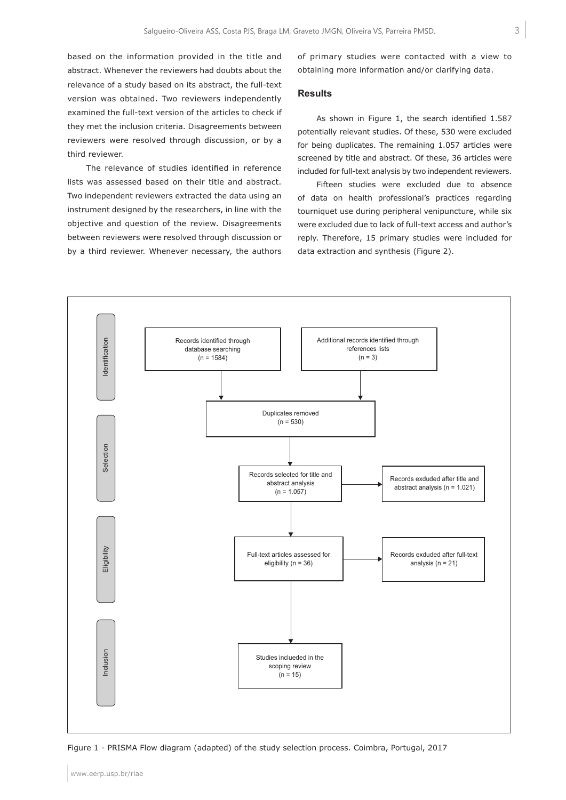based on the information provided in the title and abstract. Whenever the reviewers had doubts about the relevance of a study based on its abstract, the full-text version was obtained. Two reviewers independently examined the full-text version of the articles to check if they met the inclusion criteria. Disagreements between reviewers were resolved through discussion, or by a third reviewer.

The relevance of studies identified in reference lists was assessed based on their title and abstract. Two independent reviewers extracted the data using an instrument designed by the researchers, in line with the objective and question of the review. Disagreements between reviewers were resolved through discussion or by a third reviewer. Whenever necessary, the authors of primary studies were contacted with a view to obtaining more information and/or clarifying data.

#### **Results**

As shown in Figure 1, the search identified 1.587 potentially relevant studies. Of these, 530 were excluded for being duplicates. The remaining 1.057 articles were screened by title and abstract. Of these, 36 articles were included for full-text analysis by two independent reviewers.

Fifteen studies were excluded due to absence of data on health professional's practices regarding tourniquet use during peripheral venipuncture, while six were excluded due to lack of full-text access and author's reply. Therefore, 15 primary studies were included for data extraction and synthesis (Figure 2).



Figure 1 - PRISMA Flow diagram (adapted) of the study selection process. Coimbra, Portugal, 2017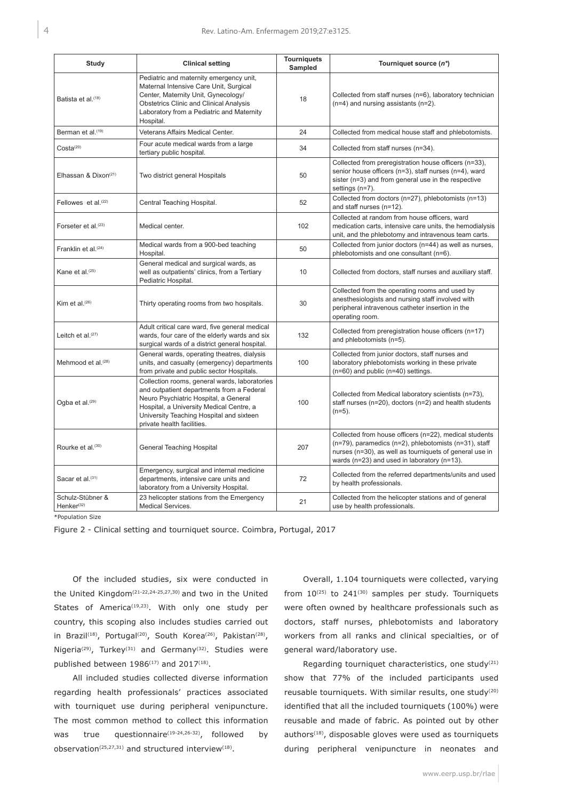| Study                                         | <b>Clinical setting</b>                                                                                                                                                                                                                                   | <b>Tourniquets</b><br><b>Sampled</b> | Tourniquet source (n*)                                                                                                                                                                                                             |
|-----------------------------------------------|-----------------------------------------------------------------------------------------------------------------------------------------------------------------------------------------------------------------------------------------------------------|--------------------------------------|------------------------------------------------------------------------------------------------------------------------------------------------------------------------------------------------------------------------------------|
| Batista et al. <sup>(18)</sup>                | Pediatric and maternity emergency unit,<br>Maternal Intensive Care Unit, Surgical<br>Center, Maternity Unit, Gynecology/<br><b>Obstetrics Clinic and Clinical Analysis</b><br>Laboratory from a Pediatric and Maternity<br>Hospital.                      | 18                                   | Collected from staff nurses (n=6), laboratory technician<br>$(n=4)$ and nursing assistants $(n=2)$ .                                                                                                                               |
| Berman et al. <sup>(19)</sup>                 | Veterans Affairs Medical Center.                                                                                                                                                                                                                          | 24                                   | Collected from medical house staff and phlebotomists.                                                                                                                                                                              |
| $Costa^{(20)}$                                | Four acute medical wards from a large<br>tertiary public hospital.                                                                                                                                                                                        | 34                                   | Collected from staff nurses (n=34).                                                                                                                                                                                                |
| Elhassan & Dixon <sup><math>(21)</math></sup> | Two district general Hospitals                                                                                                                                                                                                                            | 50                                   | Collected from preregistration house officers (n=33),<br>senior house officers (n=3), staff nurses (n=4), ward<br>sister (n=3) and from general use in the respective<br>settings (n=7).                                           |
| Fellowes et al. $(22)$                        | Central Teaching Hospital.                                                                                                                                                                                                                                | 52                                   | Collected from doctors (n=27), phlebotomists (n=13)<br>and staff nurses (n=12).                                                                                                                                                    |
| Forseter et al. <sup>(23)</sup>               | Medical center.                                                                                                                                                                                                                                           | 102                                  | Collected at random from house officers, ward<br>medication carts, intensive care units, the hemodialysis<br>unit, and the phlebotomy and intravenous team carts.                                                                  |
| Franklin et al. <sup>(24)</sup>               | Medical wards from a 900-bed teaching<br>Hospital.                                                                                                                                                                                                        | 50                                   | Collected from junior doctors (n=44) as well as nurses,<br>phlebotomists and one consultant (n=6).                                                                                                                                 |
| Kane et al. <sup>(25)</sup>                   | General medical and surgical wards, as<br>well as outpatients' clinics, from a Tertiary<br>Pediatric Hospital.                                                                                                                                            | 10                                   | Collected from doctors, staff nurses and auxiliary staff.                                                                                                                                                                          |
| Kim et al. $(26)$                             | Thirty operating rooms from two hospitals.                                                                                                                                                                                                                | 30                                   | Collected from the operating rooms and used by<br>anesthesiologists and nursing staff involved with<br>peripheral intravenous catheter insertion in the<br>operating room.                                                         |
| Leitch et al. <sup>(27)</sup>                 | Adult critical care ward, five general medical<br>wards, four care of the elderly wards and six<br>surgical wards of a district general hospital.                                                                                                         | 132                                  | Collected from preregistration house officers (n=17)<br>and phlebotomists (n=5).                                                                                                                                                   |
| Mehmood et al. <sup>(28)</sup>                | General wards, operating theatres, dialysis<br>units, and casualty (emergency) departments<br>from private and public sector Hospitals.                                                                                                                   | 100                                  | Collected from junior doctors, staff nurses and<br>laboratory phlebotomists working in these private<br>$(n=60)$ and public $(n=40)$ settings.                                                                                     |
| Ogba et al. <sup>(29)</sup>                   | Collection rooms, general wards, laboratories<br>and outpatient departments from a Federal<br>Neuro Psychiatric Hospital, a General<br>Hospital, a University Medical Centre, a<br>University Teaching Hospital and sixteen<br>private health facilities. | 100                                  | Collected from Medical laboratory scientists (n=73),<br>staff nurses ( $n=20$ ), doctors ( $n=2$ ) and health students<br>$(n=5)$ .                                                                                                |
| Rourke et al. <sup>(30)</sup>                 | General Teaching Hospital                                                                                                                                                                                                                                 | 207                                  | Collected from house officers (n=22), medical students<br>$(n=79)$ , paramedics $(n=2)$ , phlebotomists $(n=31)$ , staff<br>nurses (n=30), as well as tourniquets of general use in<br>wards (n=23) and used in laboratory (n=13). |
| Sacar et al. <sup>(31)</sup>                  | Emergency, surgical and internal medicine<br>departments, intensive care units and<br>laboratory from a University Hospital.                                                                                                                              | 72                                   | Collected from the referred departments/units and used<br>by health professionals.                                                                                                                                                 |
| Schulz-Stübner &<br>Henker $(32)$             | 23 helicopter stations from the Emergency<br>Medical Services.                                                                                                                                                                                            | 21                                   | Collected from the helicopter stations and of general<br>use by health professionals.                                                                                                                                              |

\*Population Size

Figure 2 - Clinical setting and tourniquet source. Coimbra, Portugal, 2017

Of the included studies, six were conducted in the United Kingdom(21-22,24-25,27,30) and two in the United States of America<sup>(19,23)</sup>. With only one study per country, this scoping also includes studies carried out in Brazil<sup>(18)</sup>, Portugal<sup>(20)</sup>, South Korea<sup>(26)</sup>, Pakistan<sup>(28)</sup>, Nigeria<sup>(29)</sup>, Turkey<sup>(31)</sup> and Germany<sup>(32)</sup>. Studies were published between  $1986^{(17)}$  and  $2017^{(18)}$ .

All included studies collected diverse information regarding health professionals' practices associated with tourniquet use during peripheral venipuncture. The most common method to collect this information was true questionnaire<sup>(19-24,26-32)</sup>, followed by observation(25,27,31) and structured interview(18).

Overall, 1.104 tourniquets were collected, varying from  $10^{(25)}$  to  $241^{(30)}$  samples per study. Tourniquets were often owned by healthcare professionals such as doctors, staff nurses, phlebotomists and laboratory workers from all ranks and clinical specialties, or of general ward/laboratory use.

Regarding tourniquet characteristics, one study<sup>(21)</sup> show that 77% of the included participants used reusable tourniquets. With similar results, one study(20) identified that all the included tourniquets (100%) were reusable and made of fabric. As pointed out by other authors<sup>(18)</sup>, disposable gloves were used as tourniquets during peripheral venipuncture in neonates and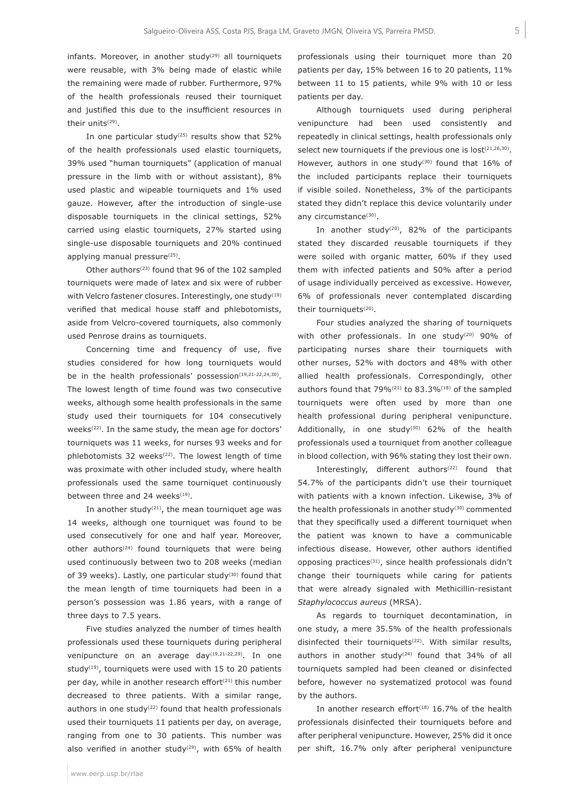infants. Moreover, in another study<sup>(29)</sup> all tourniquets were reusable, with 3% being made of elastic while the remaining were made of rubber. Furthermore, 97% of the health professionals reused their tourniquet and justified this due to the insufficient resources in their units<sup>(29)</sup>.

In one particular study<sup>(25)</sup> results show that  $52\%$ of the health professionals used elastic tourniquets, 39% used "human tourniquets" (application of manual pressure in the limb with or without assistant), 8% used plastic and wipeable tourniquets and 1% used gauze. However, after the introduction of single-use disposable tourniquets in the clinical settings, 52% carried using elastic tourniquets, 27% started using single-use disposable tourniquets and 20% continued applying manual pressure<sup>(25)</sup>.

Other authors(23) found that 96 of the 102 sampled tourniquets were made of latex and six were of rubber with Velcro fastener closures. Interestingly, one study<sup>(19)</sup> verified that medical house staff and phlebotomists, aside from Velcro-covered tourniquets, also commonly used Penrose drains as tourniquets.

Concerning time and frequency of use, five studies considered for how long tourniquets would be in the health professionals' possession<sup>(19,21-22,24,30)</sup>. The lowest length of time found was two consecutive weeks, although some health professionals in the same study used their tourniquets for 104 consecutively weeks<sup>(22)</sup>. In the same study, the mean age for doctors' tourniquets was 11 weeks, for nurses 93 weeks and for phlebotomists 32 weeks<sup>(22)</sup>. The lowest length of time was proximate with other included study, where health professionals used the same tourniquet continuously between three and 24 weeks<sup>(19)</sup>.

In another study<sup>(21)</sup>, the mean tourniquet age was 14 weeks, although one tourniquet was found to be used consecutively for one and half year. Moreover, other authors<sup> $(24)$ </sup> found tourniquets that were being used continuously between two to 208 weeks (median of 39 weeks). Lastly, one particular study<sup>(30)</sup> found that the mean length of time tourniquets had been in a person's possession was 1.86 years, with a range of three days to 7.5 years.

Five studies analyzed the number of times health professionals used these tourniquets during peripheral venipuncture on an average day<sup>(19,21-22,29)</sup>. In one study<sup>(19)</sup>, tourniquets were used with 15 to 20 patients per day, while in another research effort<sup>(21)</sup> this number decreased to three patients. With a similar range, authors in one study<sup>(22)</sup> found that health professionals used their tourniquets 11 patients per day, on average, ranging from one to 30 patients. This number was also verified in another study<sup>(29)</sup>, with 65% of health

professionals using their tourniquet more than 20 patients per day, 15% between 16 to 20 patients, 11% between 11 to 15 patients, while 9% with 10 or less patients per day.

Although tourniquets used during peripheral venipuncture had been used consistently and repeatedly in clinical settings, health professionals only select new tourniquets if the previous one is lost<sup>(21,26,30)</sup>. However, authors in one study<sup>(30)</sup> found that 16% of the included participants replace their tourniquets if visible soiled. Nonetheless, 3% of the participants stated they didn't replace this device voluntarily under any circumstance<sup>(30)</sup>.

In another study<sup>(20)</sup>, 82% of the participants stated they discarded reusable tourniquets if they were soiled with organic matter, 60% if they used them with infected patients and 50% after a period of usage individually perceived as excessive. However, 6% of professionals never contemplated discarding their tourniquets<sup>(20)</sup>.

Four studies analyzed the sharing of tourniquets with other professionals. In one study<sup>(20)</sup> 90% of participating nurses share their tourniquets with other nurses, 52% with doctors and 48% with other allied health professionals. Correspondingly, other authors found that 79% $(21)$  to 83.3% $(18)$  of the sampled tourniquets were often used by more than one health professional during peripheral venipuncture. Additionally, in one study<sup>(30)</sup>  $62\%$  of the health professionals used a tourniquet from another colleague in blood collection, with 96% stating they lost their own.

Interestingly, different authors<sup>(22)</sup> found that 54.7% of the participants didn't use their tourniquet with patients with a known infection. Likewise, 3% of the health professionals in another study<sup>(30)</sup> commented that they specifically used a different tourniquet when the patient was known to have a communicable infectious disease. However, other authors identified opposing practices(31), since health professionals didn't change their tourniquets while caring for patients that were already signaled with Methicillin-resistant *Staphylococcus aureus* (MRSA).

As regards to tourniquet decontamination, in one study, a mere 35.5% of the health professionals disinfected their tourniquets<sup>(22)</sup>. With similar results, authors in another study<sup> $(24)$ </sup> found that 34% of all tourniquets sampled had been cleaned or disinfected before, however no systematized protocol was found by the authors.

In another research effort $(18)$  16.7% of the health professionals disinfected their tourniquets before and after peripheral venipuncture. However, 25% did it once per shift, 16.7% only after peripheral venipuncture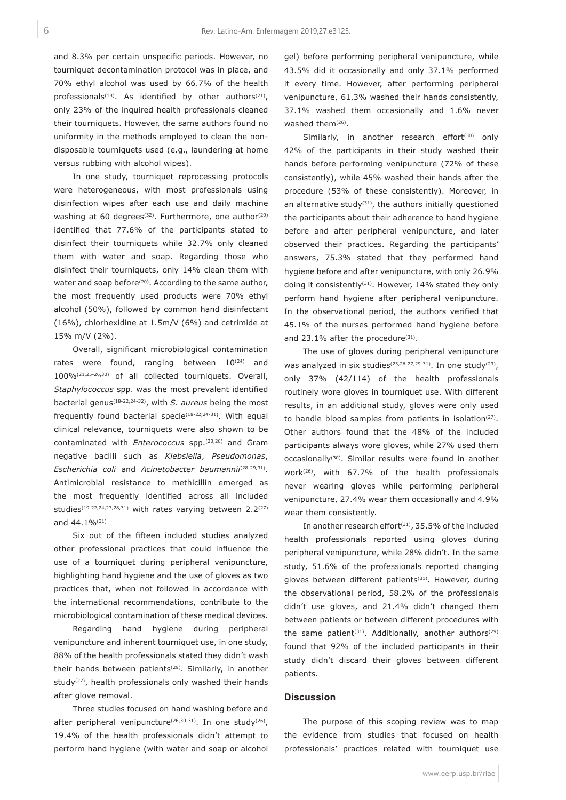and 8.3% per certain unspecific periods. However, no tourniquet decontamination protocol was in place, and 70% ethyl alcohol was used by 66.7% of the health professionals<sup>(18)</sup>. As identified by other authors<sup>(21)</sup>, only 23% of the inquired health professionals cleaned their tourniquets. However, the same authors found no uniformity in the methods employed to clean the nondisposable tourniquets used (e.g., laundering at home versus rubbing with alcohol wipes).

In one study, tourniquet reprocessing protocols were heterogeneous, with most professionals using disinfection wipes after each use and daily machine washing at 60 degrees<sup>(32)</sup>. Furthermore, one author<sup>(20)</sup> identified that 77.6% of the participants stated to disinfect their tourniquets while 32.7% only cleaned them with water and soap. Regarding those who disinfect their tourniquets, only 14% clean them with water and soap before<sup>(20)</sup>. According to the same author, the most frequently used products were 70% ethyl alcohol (50%), followed by common hand disinfectant (16%), chlorhexidine at 1.5m/V (6%) and cetrimide at 15% m/V (2%).

Overall, significant microbiological contamination rates were found, ranging between  $10^{(24)}$  and 100%(21,25-26,30) of all collected tourniquets. Overall, *Staphylococcus* spp. was the most prevalent identified bacterial genus(18-22,24-32), with *S. aureus* being the most frequently found bacterial specie $(18-22,24-31)$ . With equal clinical relevance, tourniquets were also shown to be contaminated with *Enterococcus* spp.(20,26) and Gram negative bacilli such as *Klebsiella*, *Pseudomonas*, *Escherichia coli* and *Acinetobacter baumannii*(28-29,31). Antimicrobial resistance to methicillin emerged as the most frequently identified across all included studies<sup>(19-22,24,27,28,31)</sup> with rates varying between  $2.2<sup>(27)</sup>$ and 44.1%(31)

Six out of the fifteen included studies analyzed other professional practices that could influence the use of a tourniquet during peripheral venipuncture, highlighting hand hygiene and the use of gloves as two practices that, when not followed in accordance with the international recommendations, contribute to the microbiological contamination of these medical devices.

Regarding hand hygiene during peripheral venipuncture and inherent tourniquet use, in one study, 88% of the health professionals stated they didn't wash their hands between patients<sup>(29)</sup>. Similarly, in another study<sup>(27)</sup>, health professionals only washed their hands after glove removal.

Three studies focused on hand washing before and after peripheral venipuncture<sup>(26,30-31)</sup>. In one study<sup>(26)</sup>, 19.4% of the health professionals didn't attempt to perform hand hygiene (with water and soap or alcohol

gel) before performing peripheral venipuncture, while 43.5% did it occasionally and only 37.1% performed it every time. However, after performing peripheral venipuncture, 61.3% washed their hands consistently, 37.1% washed them occasionally and 1.6% never washed them<sup>(26)</sup>.

Similarly, in another research effort<sup>(30)</sup> only 42% of the participants in their study washed their hands before performing venipuncture (72% of these consistently), while 45% washed their hands after the procedure (53% of these consistently). Moreover, in an alternative study<sup>(31)</sup>, the authors initially questioned the participants about their adherence to hand hygiene before and after peripheral venipuncture, and later observed their practices. Regarding the participants' answers, 75.3% stated that they performed hand hygiene before and after venipuncture, with only 26.9% doing it consistently<sup>(31)</sup>. However, 14% stated they only perform hand hygiene after peripheral venipuncture. In the observational period, the authors verified that 45.1% of the nurses performed hand hygiene before and 23.1% after the procedure<sup>(31)</sup>.

The use of gloves during peripheral venipuncture was analyzed in six studies<sup>(23,26-27,29-31)</sup>. In one study<sup>(23)</sup>, only 37% (42/114) of the health professionals routinely wore gloves in tourniquet use. With different results, in an additional study, gloves were only used to handle blood samples from patients in isolation<sup>(27)</sup>. Other authors found that the 48% of the included participants always wore gloves, while 27% used them occasionally(30). Similar results were found in another work(26), with 67.7% of the health professionals never wearing gloves while performing peripheral venipuncture, 27.4% wear them occasionally and 4.9% wear them consistently.

In another research effort<sup> $(31)$ </sup>, 35.5% of the included health professionals reported using gloves during peripheral venipuncture, while 28% didn't. In the same study, 51.6% of the professionals reported changing gloves between different patients<sup>(31)</sup>. However, during the observational period, 58.2% of the professionals didn't use gloves, and 21.4% didn't changed them between patients or between different procedures with the same patient<sup>(31)</sup>. Additionally, another authors<sup>(29)</sup> found that 92% of the included participants in their study didn't discard their gloves between different patients.

#### **Discussion**

The purpose of this scoping review was to map the evidence from studies that focused on health professionals' practices related with tourniquet use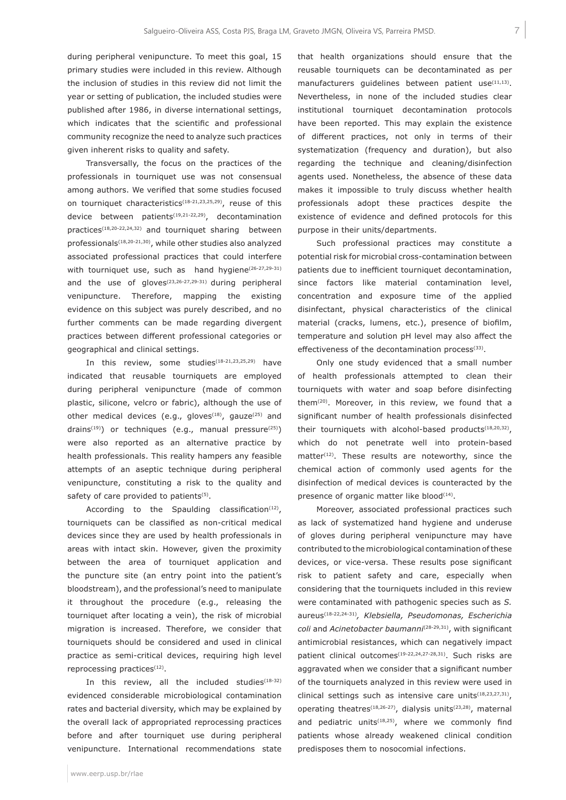during peripheral venipuncture. To meet this goal, 15 primary studies were included in this review. Although the inclusion of studies in this review did not limit the year or setting of publication, the included studies were published after 1986, in diverse international settings, which indicates that the scientific and professional community recognize the need to analyze such practices given inherent risks to quality and safety.

Transversally, the focus on the practices of the professionals in tourniquet use was not consensual among authors. We verified that some studies focused on tourniquet characteristics(18-21,23,25,29), reuse of this device between patients<sup>(19,21-22,29)</sup>, decontamination practices(18,20-22,24,32) and tourniquet sharing between professionals(18,20-21,30), while other studies also analyzed associated professional practices that could interfere with tourniquet use, such as hand hygiene<sup>(26-27,29-31)</sup> and the use of gloves<sup> $(23,26-27,29-31)$ </sup> during peripheral venipuncture. Therefore, mapping the existing evidence on this subject was purely described, and no further comments can be made regarding divergent practices between different professional categories or geographical and clinical settings.

In this review, some studies<sup>(18-21,23,25,29)</sup> have indicated that reusable tourniquets are employed during peripheral venipuncture (made of common plastic, silicone, velcro or fabric), although the use of other medical devices (e.g., gloves<sup> $(18)$ </sup>, gauze $(25)$  and drains<sup>(19)</sup>) or techniques (e.g., manual pressure<sup>(25)</sup>) were also reported as an alternative practice by health professionals. This reality hampers any feasible attempts of an aseptic technique during peripheral venipuncture, constituting a risk to the quality and safety of care provided to patients<sup>(5)</sup>.

According to the Spaulding classification $(12)$ , tourniquets can be classified as non-critical medical devices since they are used by health professionals in areas with intact skin. However, given the proximity between the area of tourniquet application and the puncture site (an entry point into the patient's bloodstream), and the professional's need to manipulate it throughout the procedure (e.g., releasing the tourniquet after locating a vein), the risk of microbial migration is increased. Therefore, we consider that tourniquets should be considered and used in clinical practice as semi-critical devices, requiring high level reprocessing practices<sup>(12)</sup>.

In this review, all the included studies $(18-32)$ evidenced considerable microbiological contamination rates and bacterial diversity, which may be explained by the overall lack of appropriated reprocessing practices before and after tourniquet use during peripheral venipuncture. International recommendations state

www.eerp.usp.br/rlae

that health organizations should ensure that the reusable tourniquets can be decontaminated as per manufacturers guidelines between patient use<sup>(11,13)</sup>. Nevertheless, in none of the included studies clear institutional tourniquet decontamination protocols have been reported. This may explain the existence of different practices, not only in terms of their systematization (frequency and duration), but also regarding the technique and cleaning/disinfection agents used. Nonetheless, the absence of these data makes it impossible to truly discuss whether health professionals adopt these practices despite the existence of evidence and defined protocols for this purpose in their units/departments.

Such professional practices may constitute a potential risk for microbial cross-contamination between patients due to inefficient tourniquet decontamination, since factors like material contamination level, concentration and exposure time of the applied disinfectant, physical characteristics of the clinical material (cracks, lumens, etc.), presence of biofilm, temperature and solution pH level may also affect the effectiveness of the decontamination process<sup>(33)</sup>.

Only one study evidenced that a small number of health professionals attempted to clean their tourniquets with water and soap before disinfecting them(20). Moreover, in this review, we found that a significant number of health professionals disinfected their tourniquets with alcohol-based products<sup>(18,20,32)</sup>, which do not penetrate well into protein-based matter<sup>(12)</sup>. These results are noteworthy, since the chemical action of commonly used agents for the disinfection of medical devices is counteracted by the presence of organic matter like blood<sup>(14)</sup>.

Moreover, associated professional practices such as lack of systematized hand hygiene and underuse of gloves during peripheral venipuncture may have contributed to the microbiological contamination of these devices, or vice-versa. These results pose significant risk to patient safety and care, especially when considering that the tourniquets included in this review were contaminated with pathogenic species such as *S.*  aureus(18-22,24-31)*, Klebsiella, Pseudomonas, Escherichia coli* and *Acinetobacter baumanni*(28-29,31), with significant antimicrobial resistances, which can negatively impact patient clinical outcomes<sup>(19-22,24,27-28,31)</sup>. Such risks are aggravated when we consider that a significant number of the tourniquets analyzed in this review were used in clinical settings such as intensive care units $(18,23,27,31)$ , operating theatres<sup>(18,26-27)</sup>, dialysis units<sup>(23,28)</sup>, maternal and pediatric units<sup> $(18,25)$ </sup>, where we commonly find patients whose already weakened clinical condition predisposes them to nosocomial infections.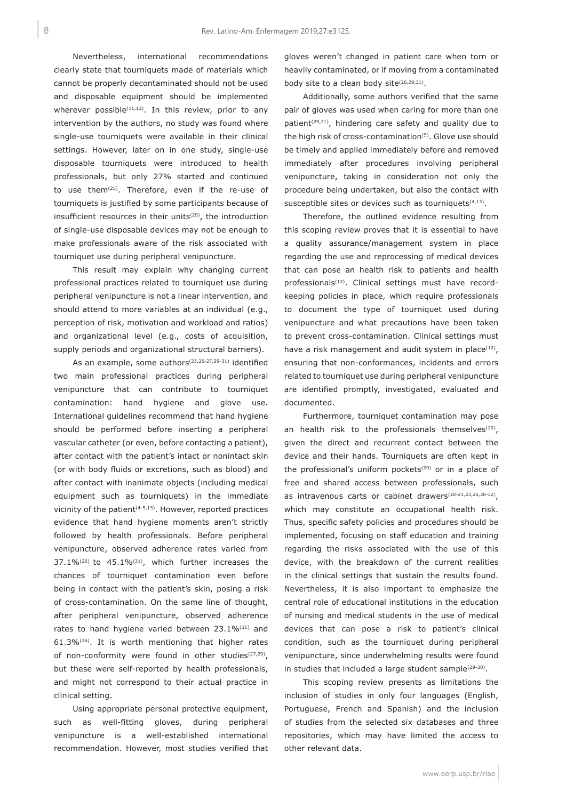Nevertheless, international recommendations clearly state that tourniquets made of materials which cannot be properly decontaminated should not be used and disposable equipment should be implemented wherever possible<sup> $(11,13)$ </sup>. In this review, prior to any intervention by the authors, no study was found where single-use tourniquets were available in their clinical settings. However, later on in one study, single-use disposable tourniquets were introduced to health professionals, but only 27% started and continued to use them<sup>(25)</sup>. Therefore, even if the re-use of tourniquets is justified by some participants because of insufficient resources in their units<sup>(29)</sup>, the introduction of single-use disposable devices may not be enough to make professionals aware of the risk associated with tourniquet use during peripheral venipuncture.

This result may explain why changing current professional practices related to tourniquet use during peripheral venipuncture is not a linear intervention, and should attend to more variables at an individual (e.g., perception of risk, motivation and workload and ratios) and organizational level (e.g., costs of acquisition, supply periods and organizational structural barriers).

As an example, some authors<sup>(23,26-27,29-31)</sup> identified two main professional practices during peripheral venipuncture that can contribute to tourniquet contamination: hand hygiene and glove use. International guidelines recommend that hand hygiene should be performed before inserting a peripheral vascular catheter (or even, before contacting a patient), after contact with the patient's intact or nonintact skin (or with body fluids or excretions, such as blood) and after contact with inanimate objects (including medical equipment such as tourniquets) in the immediate vicinity of the patient<sup>(4-5,13)</sup>. However, reported practices evidence that hand hygiene moments aren't strictly followed by health professionals. Before peripheral venipuncture, observed adherence rates varied from  $37.1\%$ <sup>(26)</sup> to  $45.1\%$ <sup>(31)</sup>, which further increases the chances of tourniquet contamination even before being in contact with the patient's skin, posing a risk of cross-contamination. On the same line of thought, after peripheral venipuncture, observed adherence rates to hand hygiene varied between  $23.1\%^{(31)}$  and 61.3%(26). It is worth mentioning that higher rates of non-conformity were found in other studies $(27,29)$ , but these were self-reported by health professionals, and might not correspond to their actual practice in clinical setting.

Using appropriate personal protective equipment, such as well-fitting gloves, during peripheral venipuncture is a well-established international recommendation. However, most studies verified that gloves weren't changed in patient care when torn or heavily contaminated, or if moving from a contaminated body site to a clean body site<sup>(26,29,31)</sup>.

Additionally, some authors verified that the same pair of gloves was used when caring for more than one patient<sup>(29,31)</sup>, hindering care safety and quality due to the high risk of cross-contamination(5). Glove use should be timely and applied immediately before and removed immediately after procedures involving peripheral venipuncture, taking in consideration not only the procedure being undertaken, but also the contact with susceptible sites or devices such as tourniquets<sup>(4,13)</sup>.

Therefore, the outlined evidence resulting from this scoping review proves that it is essential to have a quality assurance/management system in place regarding the use and reprocessing of medical devices that can pose an health risk to patients and health professionals<sup>(12)</sup>. Clinical settings must have recordkeeping policies in place, which require professionals to document the type of tourniquet used during venipuncture and what precautions have been taken to prevent cross-contamination. Clinical settings must have a risk management and audit system in place $(12)$ , ensuring that non-conformances, incidents and errors related to tourniquet use during peripheral venipuncture are identified promptly, investigated, evaluated and documented.

Furthermore, tourniquet contamination may pose an health risk to the professionals themselves $(20)$ , given the direct and recurrent contact between the device and their hands. Tourniquets are often kept in the professional's uniform pockets<sup> $(20)$ </sup> or in a place of free and shared access between professionals, such as intravenous carts or cabinet drawers<sup>(20-21,23,26,30-32)</sup>, which may constitute an occupational health risk. Thus, specific safety policies and procedures should be implemented, focusing on staff education and training regarding the risks associated with the use of this device, with the breakdown of the current realities in the clinical settings that sustain the results found. Nevertheless, it is also important to emphasize the central role of educational institutions in the education of nursing and medical students in the use of medical devices that can pose a risk to patient's clinical condition, such as the tourniquet during peripheral venipuncture, since underwhelming results were found in studies that included a large student sample<sup>(29-30)</sup>.

This scoping review presents as limitations the inclusion of studies in only four languages (English, Portuguese, French and Spanish) and the inclusion of studies from the selected six databases and three repositories, which may have limited the access to other relevant data.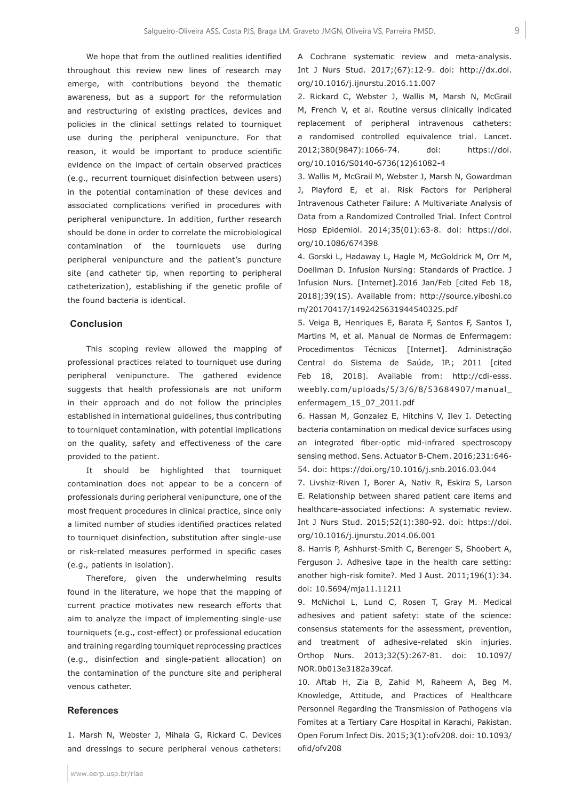We hope that from the outlined realities identified throughout this review new lines of research may emerge, with contributions beyond the thematic awareness, but as a support for the reformulation and restructuring of existing practices, devices and policies in the clinical settings related to tourniquet use during the peripheral venipuncture. For that reason, it would be important to produce scientific evidence on the impact of certain observed practices (e.g., recurrent tourniquet disinfection between users) in the potential contamination of these devices and associated complications verified in procedures with peripheral venipuncture. In addition, further research should be done in order to correlate the microbiological contamination of the tourniquets use during peripheral venipuncture and the patient's puncture site (and catheter tip, when reporting to peripheral catheterization), establishing if the genetic profile of the found bacteria is identical.

#### **Conclusion**

This scoping review allowed the mapping of professional practices related to tourniquet use during peripheral venipuncture. The gathered evidence suggests that health professionals are not uniform in their approach and do not follow the principles established in international guidelines, thus contributing to tourniquet contamination, with potential implications on the quality, safety and effectiveness of the care provided to the patient.

It should be highlighted that tourniquet contamination does not appear to be a concern of professionals during peripheral venipuncture, one of the most frequent procedures in clinical practice, since only a limited number of studies identified practices related to tourniquet disinfection, substitution after single-use or risk-related measures performed in specific cases (e.g., patients in isolation).

Therefore, given the underwhelming results found in the literature, we hope that the mapping of current practice motivates new research efforts that aim to analyze the impact of implementing single-use tourniquets (e.g., cost-effect) or professional education and training regarding tourniquet reprocessing practices (e.g., disinfection and single-patient allocation) on the contamination of the puncture site and peripheral venous catheter.

#### **References**

1. Marsh N, Webster J, Mihala G, Rickard C. Devices and dressings to secure peripheral venous catheters:

A Cochrane systematic review and meta-analysis. Int J Nurs Stud. 2017;(67):12-9. doi: http://dx.doi. org/10.1016/j.ijnurstu.2016.11.007

2. Rickard C, Webster J, Wallis M, Marsh N, McGrail M, French V, et al. Routine versus clinically indicated replacement of peripheral intravenous catheters: a randomised controlled equivalence trial. Lancet. 2012;380(9847):1066-74. doi: https://doi. org/10.1016/S0140-6736(12)61082-4

3. Wallis M, McGrail M, Webster J, Marsh N, Gowardman J, Playford E, et al. Risk Factors for Peripheral Intravenous Catheter Failure: A Multivariate Analysis of Data from a Randomized Controlled Trial. Infect Control Hosp Epidemiol. 2014;35(01):63-8. doi: https://doi. org/10.1086/674398

4. Gorski L, Hadaway L, Hagle M, McGoldrick M, Orr M, Doellman D. Infusion Nursing: Standards of Practice. J Infusion Nurs. [Internet].2016 Jan/Feb [cited Feb 18, 2018];39(1S). Available from: http://source.yiboshi.co m/20170417/1492425631944540325.pdf

5. Veiga B, Henriques E, Barata F, Santos F, Santos I, Martins M, et al. Manual de Normas de Enfermagem: Procedimentos Técnicos [Internet]. Administração Central do Sistema de Saúde, IP.; 2011 [cited Feb 18, 2018]. Available from: http://cdi-esss. weebly.com/uploads/5/3/6/8/53684907/manual\_ enfermagem\_15\_07\_2011.pdf

6. Hassan M, Gonzalez E, Hitchins V, Ilev I. Detecting bacteria contamination on medical device surfaces using an integrated fiber-optic mid-infrared spectroscopy sensing method. Sens. Actuator B-Chem. 2016;231:646- 54. doi: https://doi.org/10.1016/j.snb.2016.03.044

7. Livshiz-Riven I, Borer A, Nativ R, Eskira S, Larson E. Relationship between shared patient care items and healthcare-associated infections: A systematic review. Int J Nurs Stud. 2015;52(1):380-92. doi: https://doi. org/10.1016/j.ijnurstu.2014.06.001

8. Harris P, Ashhurst-Smith C, Berenger S, Shoobert A, Ferguson J. Adhesive tape in the health care setting: another high-risk fomite?. Med J Aust. 2011;196(1):34. doi: 10.5694/mja11.11211

9. McNichol L, Lund C, Rosen T, Gray M. Medical adhesives and patient safety: state of the science: consensus statements for the assessment, prevention, and treatment of adhesive-related skin injuries. Orthop Nurs. 2013;32(5):267-81. doi: 10.1097/ NOR.0b013e3182a39caf.

10. Aftab H, Zia B, Zahid M, Raheem A, Beg M. Knowledge, Attitude, and Practices of Healthcare Personnel Regarding the Transmission of Pathogens via Fomites at a Tertiary Care Hospital in Karachi, Pakistan. Open Forum Infect Dis. 2015;3(1):ofv208. doi: 10.1093/ ofid/ofv208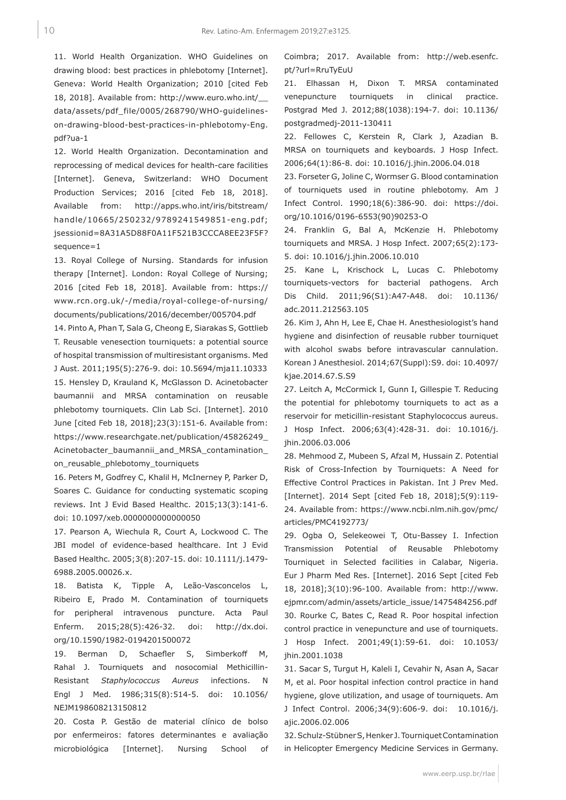11. World Health Organization. WHO Guidelines on drawing blood: best practices in phlebotomy [Internet]. Geneva: World Health Organization; 2010 [cited Feb 18, 2018]. Available from: http://www.euro.who.int/\_\_ data/assets/pdf\_file/0005/268790/WHO-guidelineson-drawing-blood-best-practices-in-phlebotomy-Eng. pdf?ua-1

12. World Health Organization. Decontamination and reprocessing of medical devices for health-care facilities [Internet]. Geneva, Switzerland: WHO Document Production Services; 2016 [cited Feb 18, 2018]. Available from: http://apps.who.int/iris/bitstream/ handle/10665/250232/9789241549851-eng.pdf; jsessionid=8A31A5D88F0A11F521B3CCCA8EE23F5F? sequence=1

13. Royal College of Nursing. Standards for infusion therapy [Internet]. London: Royal College of Nursing; 2016 [cited Feb 18, 2018]. Available from: https:// www.rcn.org.uk/-/media/royal-college-of-nursing/ documents/publications/2016/december/005704.pdf

14. Pinto A, Phan T, Sala G, Cheong E, Siarakas S, Gottlieb T. Reusable venesection tourniquets: a potential source of hospital transmission of multiresistant organisms. Med J Aust. 2011;195(5):276-9. doi: 10.5694/mja11.10333 15. Hensley D, Krauland K, McGlasson D. Acinetobacter baumannii and MRSA contamination on reusable phlebotomy tourniquets. Clin Lab Sci. [Internet]. 2010 June [cited Feb 18, 2018];23(3):151-6. Available from: https://www.researchgate.net/publication/45826249\_ Acinetobacter\_baumannii\_and\_MRSA\_contamination\_ on reusable phlebotomy tourniquets

16. Peters M, Godfrey C, Khalil H, McInerney P, Parker D, Soares C. Guidance for conducting systematic scoping reviews. Int J Evid Based Healthc. 2015;13(3):141-6. doi: 10.1097/xeb.0000000000000050

17. Pearson A, Wiechula R, Court A, Lockwood C. The JBI model of evidence-based healthcare. Int J Evid Based Healthc. 2005;3(8):207-15. doi: 10.1111/j.1479- 6988.2005.00026.x.

18. Batista K, Tipple A, Leão-Vasconcelos L, Ribeiro E, Prado M. Contamination of tourniquets for peripheral intravenous puncture. Acta Paul Enferm. 2015;28(5):426-32. doi: http://dx.doi. org/10.1590/1982-0194201500072

19. Berman D, Schaefler S, Simberkoff M, Rahal J. Tourniquets and nosocomial Methicillin-Resistant *Staphylococcus Aureus* infections. N Engl J Med. 1986;315(8):514-5. doi: 10.1056/ NEJM198608213150812

20. Costa P. Gestão de material clínico de bolso por enfermeiros: fatores determinantes e avaliação microbiológica [Internet]. Nursing School of

Coimbra; 2017. Available from: http://web.esenfc. pt/?url=RruTyEuU

21. Elhassan H, Dixon T. MRSA contaminated venepuncture tourniquets in clinical practice. Postgrad Med J. 2012;88(1038):194-7. doi: 10.1136/ postgradmedj-2011-130411

22. Fellowes C, Kerstein R, Clark J, Azadian B. MRSA on tourniquets and keyboards. J Hosp Infect. 2006;64(1):86-8. doi: 10.1016/j.jhin.2006.04.018

23. Forseter G, Joline C, Wormser G. Blood contamination of tourniquets used in routine phlebotomy. Am J Infect Control. 1990;18(6):386-90. doi: https://doi. org/10.1016/0196-6553(90)90253-O

24. Franklin G, Bal A, McKenzie H. Phlebotomy tourniquets and MRSA. J Hosp Infect. 2007;65(2):173- 5. doi: 10.1016/j.jhin.2006.10.010

25. Kane L, Krischock L, Lucas C. Phlebotomy tourniquets-vectors for bacterial pathogens. Arch Dis Child. 2011;96(S1):A47-A48. doi: 10.1136/ adc.2011.212563.105

26. Kim J, Ahn H, Lee E, Chae H. Anesthesiologist's hand hygiene and disinfection of reusable rubber tourniquet with alcohol swabs before intravascular cannulation. Korean J Anesthesiol. 2014;67(Suppl):S9. doi: 10.4097/ kjae.2014.67.S.S9

27. Leitch A, McCormick I, Gunn I, Gillespie T. Reducing the potential for phlebotomy tourniquets to act as a reservoir for meticillin-resistant Staphylococcus aureus. J Hosp Infect. 2006;63(4):428-31. doi: 10.1016/j. jhin.2006.03.006

28. Mehmood Z, Mubeen S, Afzal M, Hussain Z. Potential Risk of Cross-Infection by Tourniquets: A Need for Effective Control Practices in Pakistan. Int J Prev Med. [Internet]. 2014 Sept [cited Feb 18, 2018];5(9):119- 24. Available from: https://www.ncbi.nlm.nih.gov/pmc/ articles/PMC4192773/

29. Ogba O, Selekeowei T, Otu-Bassey I. Infection Transmission Potential of Reusable Phlebotomy Tourniquet in Selected facilities in Calabar, Nigeria. Eur J Pharm Med Res. [Internet]. 2016 Sept [cited Feb 18, 2018];3(10):96-100. Available from: http://www. ejpmr.com/admin/assets/article\_issue/1475484256.pdf 30. Rourke C, Bates C, Read R. Poor hospital infection control practice in venepuncture and use of tourniquets. J Hosp Infect. 2001;49(1):59-61. doi: 10.1053/ jhin.2001.1038

31. Sacar S, Turgut H, Kaleli I, Cevahir N, Asan A, Sacar M, et al. Poor hospital infection control practice in hand hygiene, glove utilization, and usage of tourniquets. Am J Infect Control. 2006;34(9):606-9. doi: 10.1016/j. ajic.2006.02.006

32. Schulz-Stübner S, Henker J. Tourniquet Contamination in Helicopter Emergency Medicine Services in Germany.